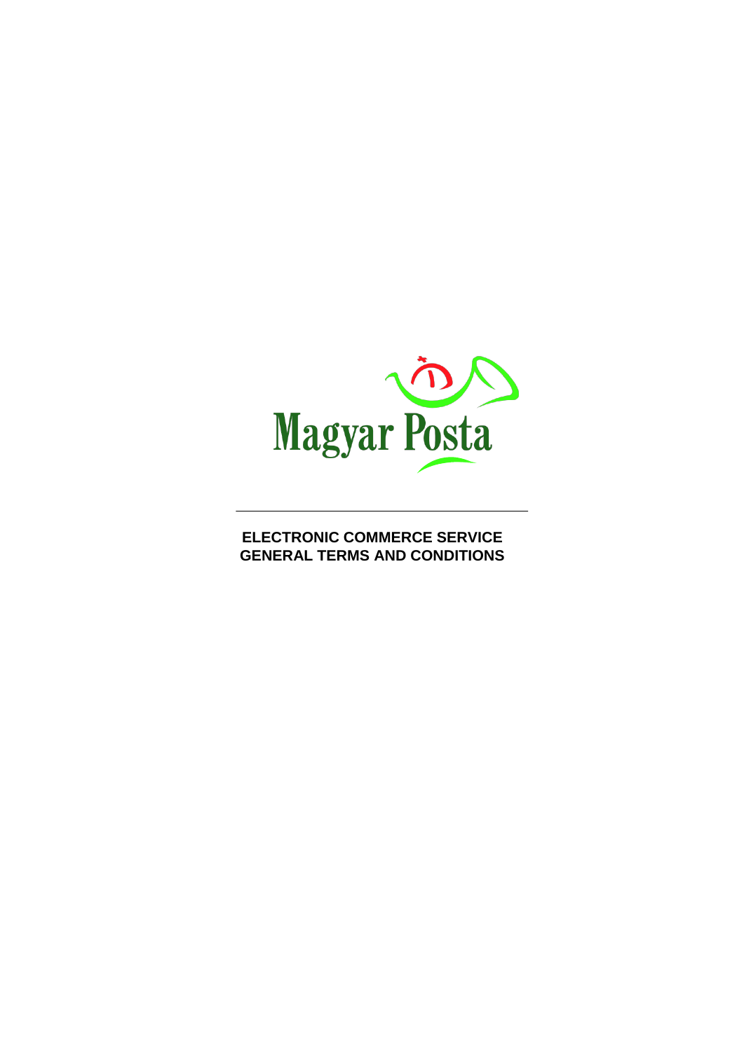

**ELECTRONIC COMMERCE SERVICE GENERAL TERMS AND CONDITIONS**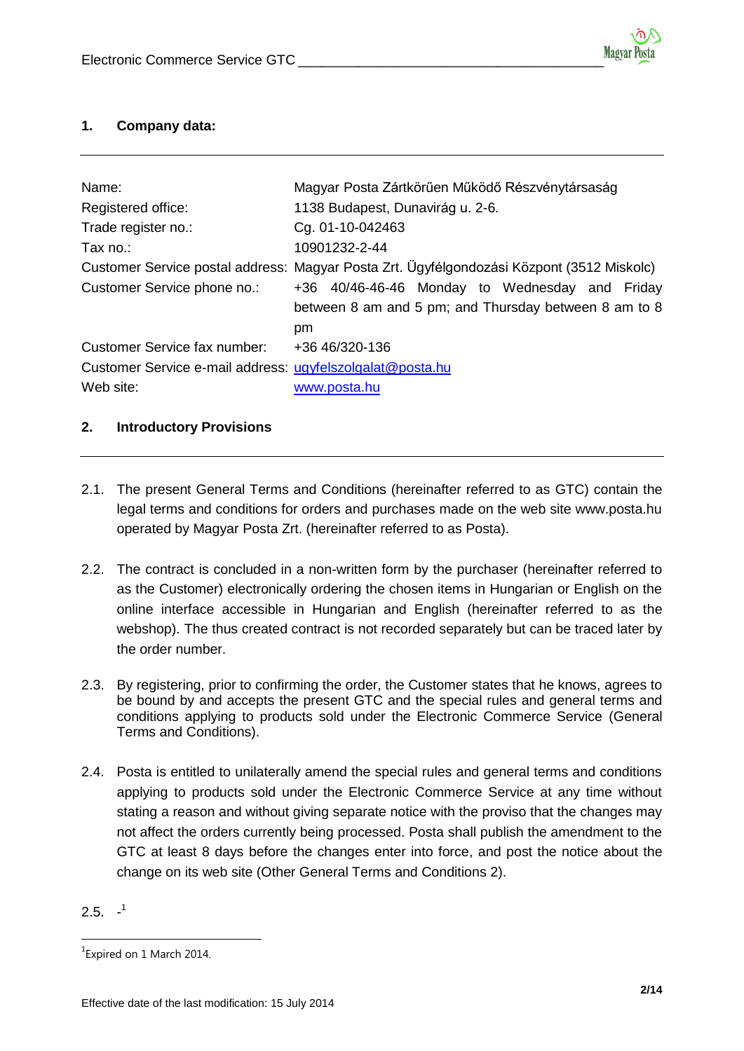# **1. Company data:**

| Name:                                                                  | Magyar Posta Zártkörűen Működő Részvénytársaság                                                               |  |  |
|------------------------------------------------------------------------|---------------------------------------------------------------------------------------------------------------|--|--|
| Registered office:                                                     | 1138 Budapest, Dunavirág u. 2-6.                                                                              |  |  |
| Trade register no.:                                                    | Cg. 01-10-042463                                                                                              |  |  |
| Tax no.:                                                               | 10901232-2-44                                                                                                 |  |  |
|                                                                        | Customer Service postal address: Magyar Posta Zrt. Ügyfélgondozási Központ (3512 Miskolc)                     |  |  |
| Customer Service phone no.:                                            | +36 40/46-46-46 Monday to Wednesday and Friday<br>between 8 am and 5 pm; and Thursday between 8 am to 8<br>pm |  |  |
| Customer Service fax number:                                           | +36 46/320-136                                                                                                |  |  |
| Customer Service e-mail address: ugyfelszolgalat@posta.hu<br>Web site: | www.posta.hu                                                                                                  |  |  |

# **2. Introductory Provisions**

- 2.1. The present General Terms and Conditions (hereinafter referred to as GTC) contain the legal terms and conditions for orders and purchases made on the web site www.posta.hu operated by Magyar Posta Zrt. (hereinafter referred to as Posta).
- 2.2. The contract is concluded in a non-written form by the purchaser (hereinafter referred to as the Customer) electronically ordering the chosen items in Hungarian or English on the online interface accessible in Hungarian and English (hereinafter referred to as the webshop). The thus created contract is not recorded separately but can be traced later by the order number.
- 2.3. By registering, prior to confirming the order, the Customer states that he knows, agrees to be bound by and accepts the present GTC and the special rules and general terms and conditions applying to products sold under the Electronic Commerce Service (General Terms and Conditions).
- 2.4. Posta is entitled to unilaterally amend the special rules and general terms and conditions applying to products sold under the Electronic Commerce Service at any time without stating a reason and without giving separate notice with the proviso that the changes may not affect the orders currently being processed. Posta shall publish the amendment to the GTC at least 8 days before the changes enter into force, and post the notice about the change on its web site (Other General Terms and Conditions 2).

<sup>2.5.</sup>  $-1$ 

 $\overline{a}$ <sup>1</sup> Expired on 1 March 2014.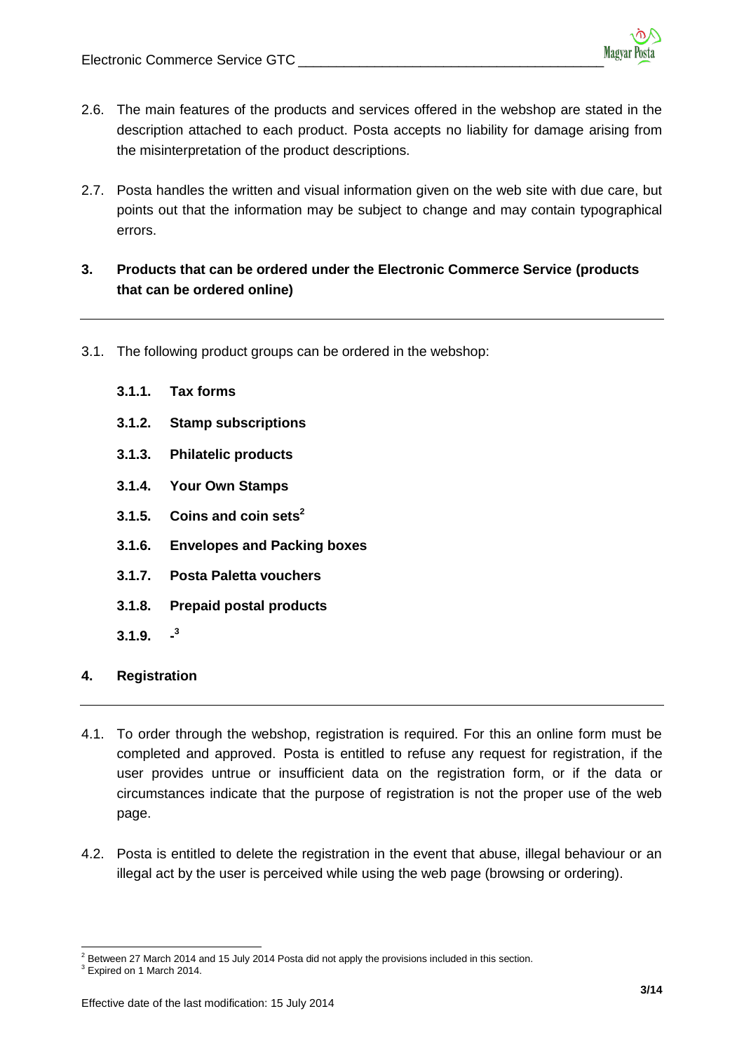- 2.6. The main features of the products and services offered in the webshop are stated in the description attached to each product. Posta accepts no liability for damage arising from the misinterpretation of the product descriptions.
- 2.7. Posta handles the written and visual information given on the web site with due care, but points out that the information may be subject to change and may contain typographical errors.

# **3. Products that can be ordered under the Electronic Commerce Service (products that can be ordered online)**

- 3.1. The following product groups can be ordered in the webshop:
	- **3.1.1. Tax forms**
	- **3.1.2. Stamp subscriptions**
	- **3.1.3. Philatelic products**
	- **3.1.4. Your Own Stamps**
	- **3.1.5. Coins and coin sets<sup>2</sup>**
	- **3.1.6. Envelopes and Packing boxes**
	- **3.1.7. Posta Paletta vouchers**
	- **3.1.8. Prepaid postal products**
	- **3.1.9. - 3**
- **4. Registration**
- 4.1. To order through the webshop, registration is required. For this an online form must be completed and approved. Posta is entitled to refuse any request for registration, if the user provides untrue or insufficient data on the registration form, or if the data or circumstances indicate that the purpose of registration is not the proper use of the web page.
- 4.2. Posta is entitled to delete the registration in the event that abuse, illegal behaviour or an illegal act by the user is perceived while using the web page (browsing or ordering).

 $\ddot{\phantom{a}}$ Between 27 March 2014 and 15 July 2014 Posta did not apply the provisions included in this section.

<sup>&</sup>lt;sup>3</sup> Expired on 1 March 2014.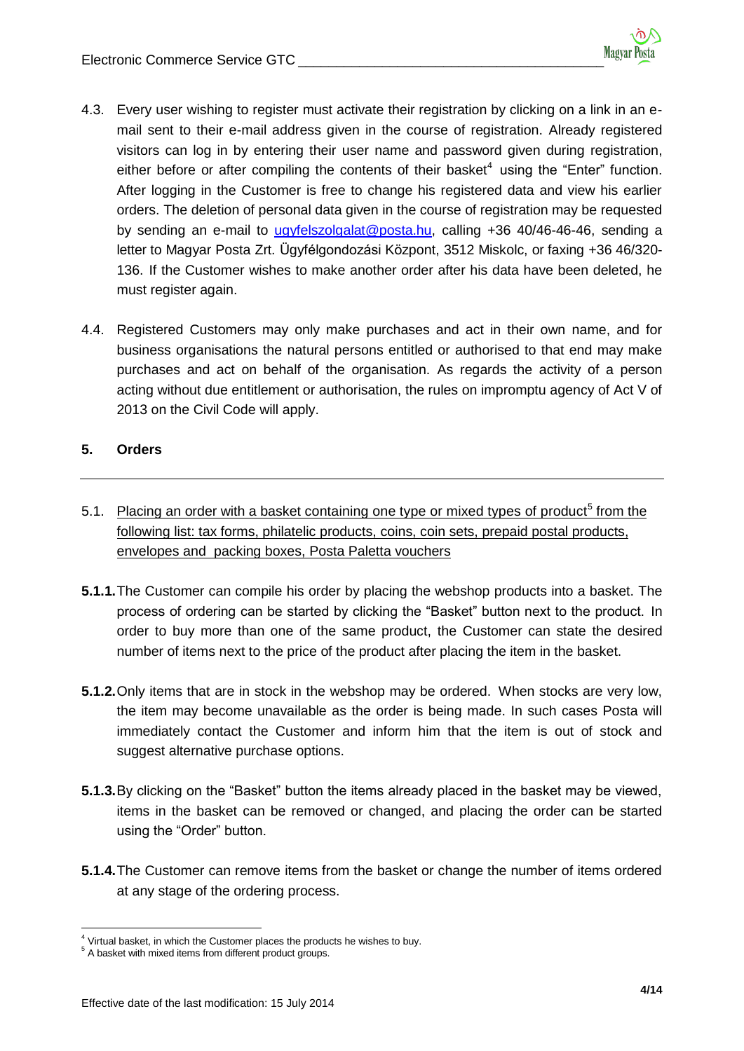- 4.3. Every user wishing to register must activate their registration by clicking on a link in an email sent to their e-mail address given in the course of registration. Already registered visitors can log in by entering their user name and password given during registration, either before or after compiling the contents of their basket<sup>4</sup> using the "Enter" function. After logging in the Customer is free to change his registered data and view his earlier orders. The deletion of personal data given in the course of registration may be requested by sending an e-mail to [ugyfelszolgalat@posta.hu,](mailto:ugyfelszolgalat@posta.hu) calling +36 40/46-46-46, sending a letter to Magyar Posta Zrt. Ügyfélgondozási Központ, 3512 Miskolc, or faxing +36 46/320- 136. If the Customer wishes to make another order after his data have been deleted, he must register again.
- 4.4. Registered Customers may only make purchases and act in their own name, and for business organisations the natural persons entitled or authorised to that end may make purchases and act on behalf of the organisation. As regards the activity of a person acting without due entitlement or authorisation, the rules on impromptu agency of Act V of 2013 on the Civil Code will apply.

# **5. Orders**

- 5.1. Placing an order with a basket containing one type or mixed types of product<sup>5</sup> from the following list: tax forms, philatelic products, coins, coin sets, prepaid postal products, envelopes and packing boxes, Posta Paletta vouchers
- **5.1.1.**The Customer can compile his order by placing the webshop products into a basket. The process of ordering can be started by clicking the "Basket" button next to the product. In order to buy more than one of the same product, the Customer can state the desired number of items next to the price of the product after placing the item in the basket.
- **5.1.2.**Only items that are in stock in the webshop may be ordered. When stocks are very low, the item may become unavailable as the order is being made. In such cases Posta will immediately contact the Customer and inform him that the item is out of stock and suggest alternative purchase options.
- **5.1.3.**By clicking on the "Basket" button the items already placed in the basket may be viewed, items in the basket can be removed or changed, and placing the order can be started using the "Order" button.
- **5.1.4.**The Customer can remove items from the basket or change the number of items ordered at any stage of the ordering process.

 $\overline{a}$  $<sup>4</sup>$  Virtual basket, in which the Customer places the products he wishes to buy.</sup>

<sup>&</sup>lt;sup>5</sup> A basket with mixed items from different product groups.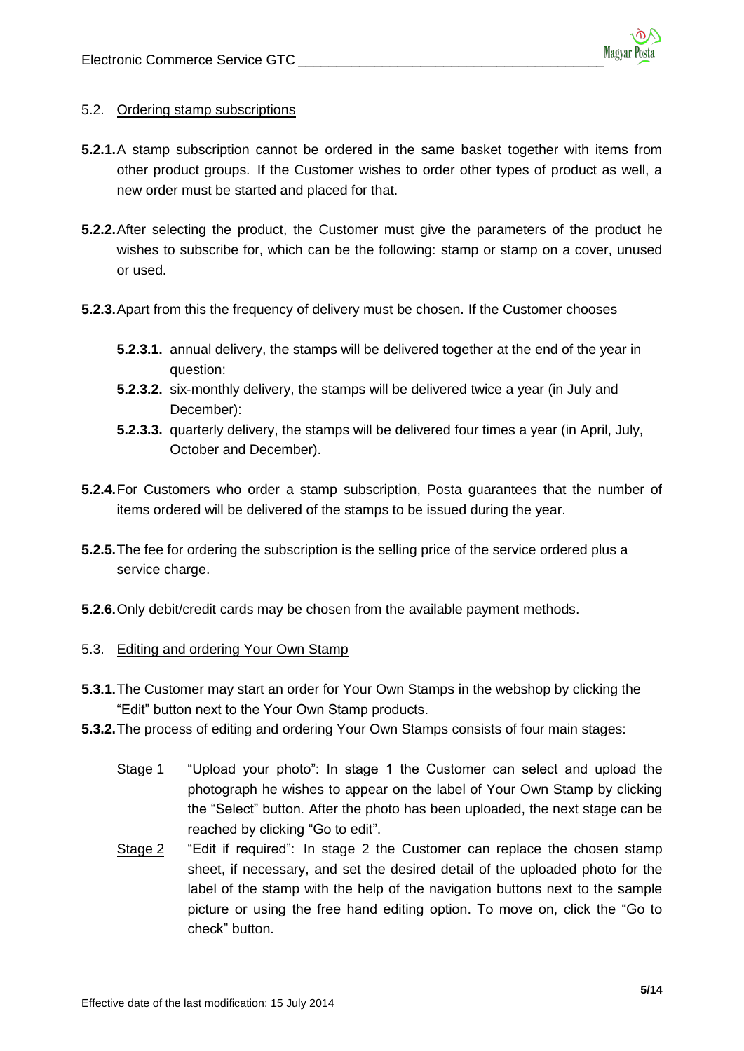### 5.2. Ordering stamp subscriptions

- **5.2.1.**A stamp subscription cannot be ordered in the same basket together with items from other product groups. If the Customer wishes to order other types of product as well, a new order must be started and placed for that.
- **5.2.2.**After selecting the product, the Customer must give the parameters of the product he wishes to subscribe for, which can be the following: stamp or stamp on a cover, unused or used.
- **5.2.3.**Apart from this the frequency of delivery must be chosen. If the Customer chooses
	- **5.2.3.1.** annual delivery, the stamps will be delivered together at the end of the year in question:
	- **5.2.3.2.** six-monthly delivery, the stamps will be delivered twice a year (in July and December):
	- **5.2.3.3.** quarterly delivery, the stamps will be delivered four times a year (in April, July, October and December).
- **5.2.4.**For Customers who order a stamp subscription, Posta guarantees that the number of items ordered will be delivered of the stamps to be issued during the year.
- **5.2.5.**The fee for ordering the subscription is the selling price of the service ordered plus a service charge.
- **5.2.6.**Only debit/credit cards may be chosen from the available payment methods.

### 5.3. Editing and ordering Your Own Stamp

- **5.3.1.**The Customer may start an order for Your Own Stamps in the webshop by clicking the "Edit" button next to the Your Own Stamp products.
- **5.3.2.**The process of editing and ordering Your Own Stamps consists of four main stages:
	- Stage 1 "Upload your photo": In stage 1 the Customer can select and upload the photograph he wishes to appear on the label of Your Own Stamp by clicking the "Select" button. After the photo has been uploaded, the next stage can be reached by clicking "Go to edit".
	- Stage 2 "Edit if required": In stage 2 the Customer can replace the chosen stamp sheet, if necessary, and set the desired detail of the uploaded photo for the label of the stamp with the help of the navigation buttons next to the sample picture or using the free hand editing option. To move on, click the "Go to check" button.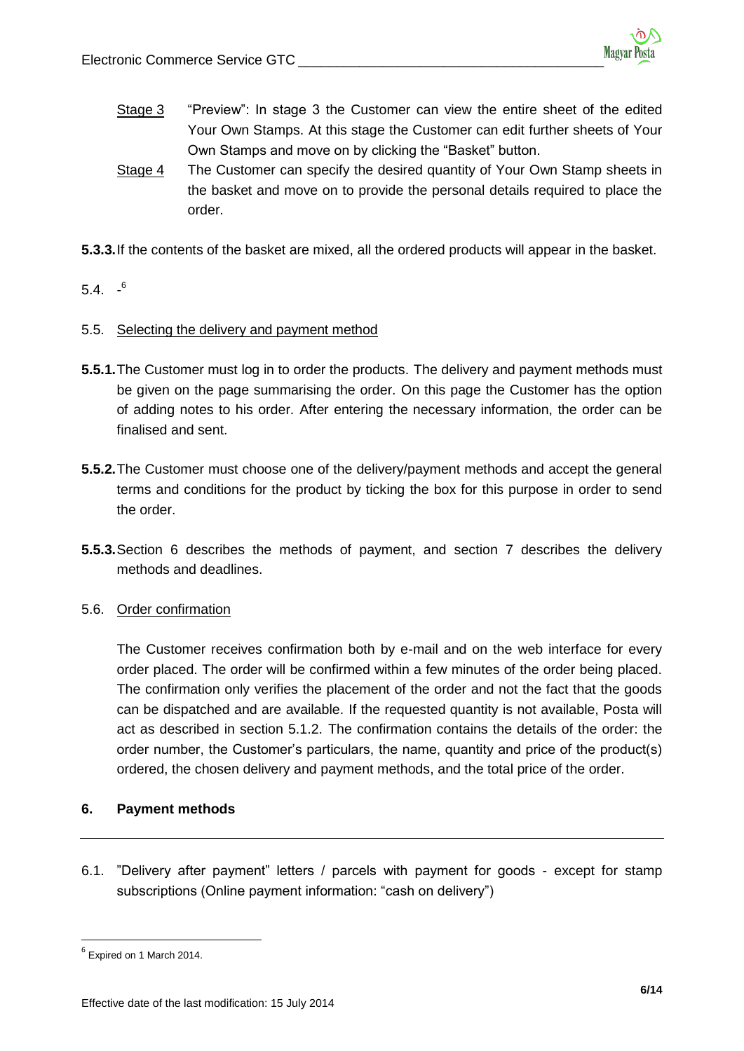- Stage 3 "Preview": In stage 3 the Customer can view the entire sheet of the edited Your Own Stamps. At this stage the Customer can edit further sheets of Your Own Stamps and move on by clicking the "Basket" button.
- Stage 4 The Customer can specify the desired quantity of Your Own Stamp sheets in the basket and move on to provide the personal details required to place the order.
- **5.3.3.**If the contents of the basket are mixed, all the ordered products will appear in the basket.
- 5.4.  $-$ <sup>6</sup>

## 5.5. Selecting the delivery and payment method

- **5.5.1.**The Customer must log in to order the products. The delivery and payment methods must be given on the page summarising the order. On this page the Customer has the option of adding notes to his order. After entering the necessary information, the order can be finalised and sent.
- **5.5.2.**The Customer must choose one of the delivery/payment methods and accept the general terms and conditions for the product by ticking the box for this purpose in order to send the order.
- **5.5.3.**Section 6 describes the methods of payment, and section 7 describes the delivery methods and deadlines.

### 5.6. Order confirmation

The Customer receives confirmation both by e-mail and on the web interface for every order placed. The order will be confirmed within a few minutes of the order being placed. The confirmation only verifies the placement of the order and not the fact that the goods can be dispatched and are available. If the requested quantity is not available, Posta will act as described in section 5.1.2. The confirmation contains the details of the order: the order number, the Customer's particulars, the name, quantity and price of the product(s) ordered, the chosen delivery and payment methods, and the total price of the order.

### **6. Payment methods**

6.1. "Delivery after payment" letters / parcels with payment for goods - except for stamp subscriptions (Online payment information: "cash on delivery")

 $\ddot{\phantom{a}}$ 

 $<sup>6</sup>$  Expired on 1 March 2014.</sup>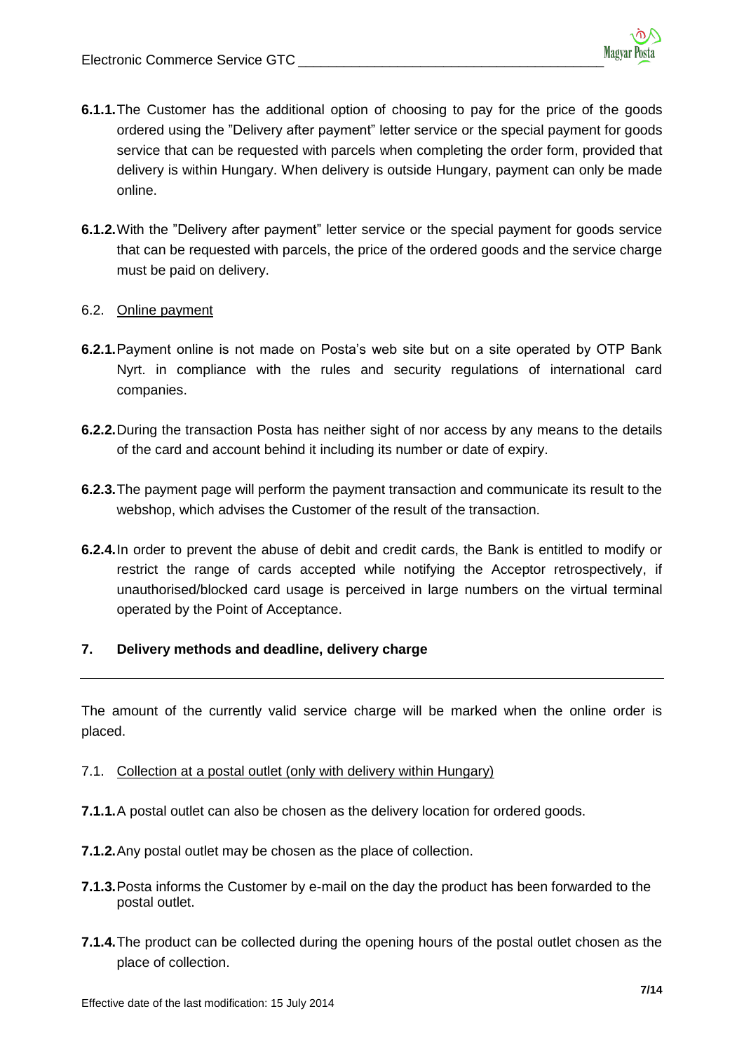- **6.1.1.**The Customer has the additional option of choosing to pay for the price of the goods ordered using the "Delivery after payment" letter service or the special payment for goods service that can be requested with parcels when completing the order form, provided that delivery is within Hungary. When delivery is outside Hungary, payment can only be made online.
- **6.1.2.**With the "Delivery after payment" letter service or the special payment for goods service that can be requested with parcels, the price of the ordered goods and the service charge must be paid on delivery.

### 6.2. Online payment

- **6.2.1.**Payment online is not made on Posta's web site but on a site operated by OTP Bank Nyrt. in compliance with the rules and security regulations of international card companies.
- **6.2.2.**During the transaction Posta has neither sight of nor access by any means to the details of the card and account behind it including its number or date of expiry.
- **6.2.3.**The payment page will perform the payment transaction and communicate its result to the webshop, which advises the Customer of the result of the transaction.
- **6.2.4.**In order to prevent the abuse of debit and credit cards, the Bank is entitled to modify or restrict the range of cards accepted while notifying the Acceptor retrospectively, if unauthorised/blocked card usage is perceived in large numbers on the virtual terminal operated by the Point of Acceptance.

# **7. Delivery methods and deadline, delivery charge**

The amount of the currently valid service charge will be marked when the online order is placed.

### 7.1. Collection at a postal outlet (only with delivery within Hungary)

- **7.1.1.**A postal outlet can also be chosen as the delivery location for ordered goods.
- **7.1.2.**Any postal outlet may be chosen as the place of collection.
- **7.1.3.**Posta informs the Customer by e-mail on the day the product has been forwarded to the postal outlet.
- **7.1.4.**The product can be collected during the opening hours of the postal outlet chosen as the place of collection.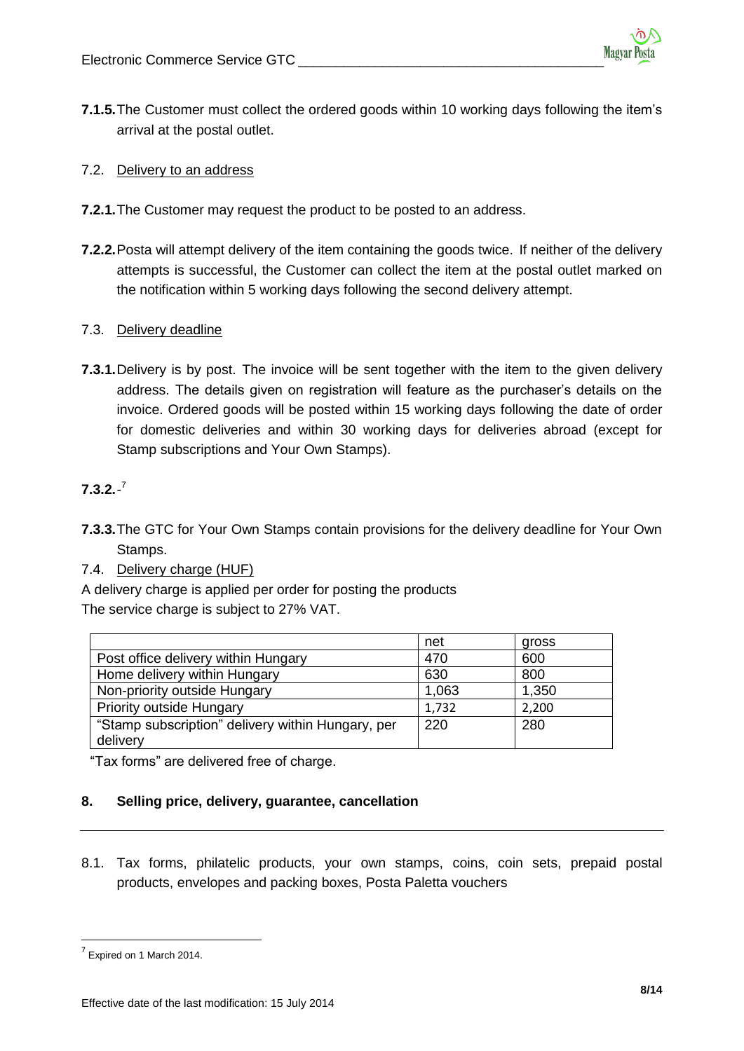**7.1.5.**The Customer must collect the ordered goods within 10 working days following the item's arrival at the postal outlet.

## 7.2. Delivery to an address

- **7.2.1.**The Customer may request the product to be posted to an address.
- **7.2.2.**Posta will attempt delivery of the item containing the goods twice. If neither of the delivery attempts is successful, the Customer can collect the item at the postal outlet marked on the notification within 5 working days following the second delivery attempt.

## 7.3. Delivery deadline

**7.3.1.**Delivery is by post. The invoice will be sent together with the item to the given delivery address. The details given on registration will feature as the purchaser's details on the invoice. Ordered goods will be posted within 15 working days following the date of order for domestic deliveries and within 30 working days for deliveries abroad (except for Stamp subscriptions and Your Own Stamps).

# **7.3.2.**- 7

**7.3.3.**The GTC for Your Own Stamps contain provisions for the delivery deadline for Your Own Stamps.

# 7.4. Delivery charge (HUF)

A delivery charge is applied per order for posting the products The service charge is subject to 27% VAT.

|                                                   | net   | gross |
|---------------------------------------------------|-------|-------|
| Post office delivery within Hungary               | 470   | 600   |
| Home delivery within Hungary                      | 630   | 800   |
| Non-priority outside Hungary                      | 1,063 | 1,350 |
| <b>Priority outside Hungary</b>                   | 1,732 | 2,200 |
| "Stamp subscription" delivery within Hungary, per | 220   | 280   |
| delivery                                          |       |       |

"Tax forms" are delivered free of charge.

# **8. Selling price, delivery, guarantee, cancellation**

8.1. Tax forms, philatelic products, your own stamps, coins, coin sets, prepaid postal products, envelopes and packing boxes, Posta Paletta vouchers

 $\frac{1}{7}$  Expired on 1 March 2014.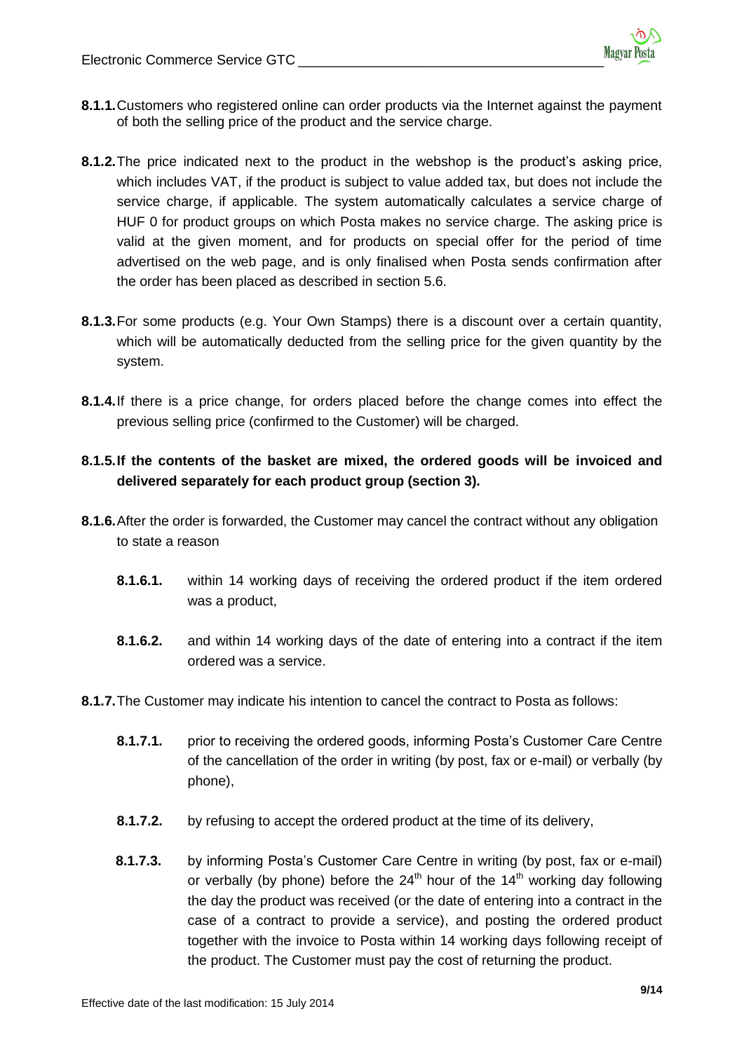- **8.1.1.**Customers who registered online can order products via the Internet against the payment of both the selling price of the product and the service charge.
- **8.1.2.**The price indicated next to the product in the webshop is the product's asking price, which includes VAT, if the product is subject to value added tax, but does not include the service charge, if applicable. The system automatically calculates a service charge of HUF 0 for product groups on which Posta makes no service charge. The asking price is valid at the given moment, and for products on special offer for the period of time advertised on the web page, and is only finalised when Posta sends confirmation after the order has been placed as described in section 5.6.
- **8.1.3.**For some products (e.g. Your Own Stamps) there is a discount over a certain quantity, which will be automatically deducted from the selling price for the given quantity by the system.
- **8.1.4.**If there is a price change, for orders placed before the change comes into effect the previous selling price (confirmed to the Customer) will be charged.

# **8.1.5.If the contents of the basket are mixed, the ordered goods will be invoiced and delivered separately for each product group (section 3).**

- **8.1.6.**After the order is forwarded, the Customer may cancel the contract without any obligation to state a reason
	- **8.1.6.1.** within 14 working days of receiving the ordered product if the item ordered was a product,
	- **8.1.6.2.** and within 14 working days of the date of entering into a contract if the item ordered was a service.
- **8.1.7.**The Customer may indicate his intention to cancel the contract to Posta as follows:
	- **8.1.7.1.** prior to receiving the ordered goods, informing Posta's Customer Care Centre of the cancellation of the order in writing (by post, fax or e-mail) or verbally (by phone),
	- **8.1.7.2.** by refusing to accept the ordered product at the time of its delivery,
	- **8.1.7.3.** by informing Posta's Customer Care Centre in writing (by post, fax or e-mail) or verbally (by phone) before the  $24<sup>th</sup>$  hour of the  $14<sup>th</sup>$  working day following the day the product was received (or the date of entering into a contract in the case of a contract to provide a service), and posting the ordered product together with the invoice to Posta within 14 working days following receipt of the product. The Customer must pay the cost of returning the product.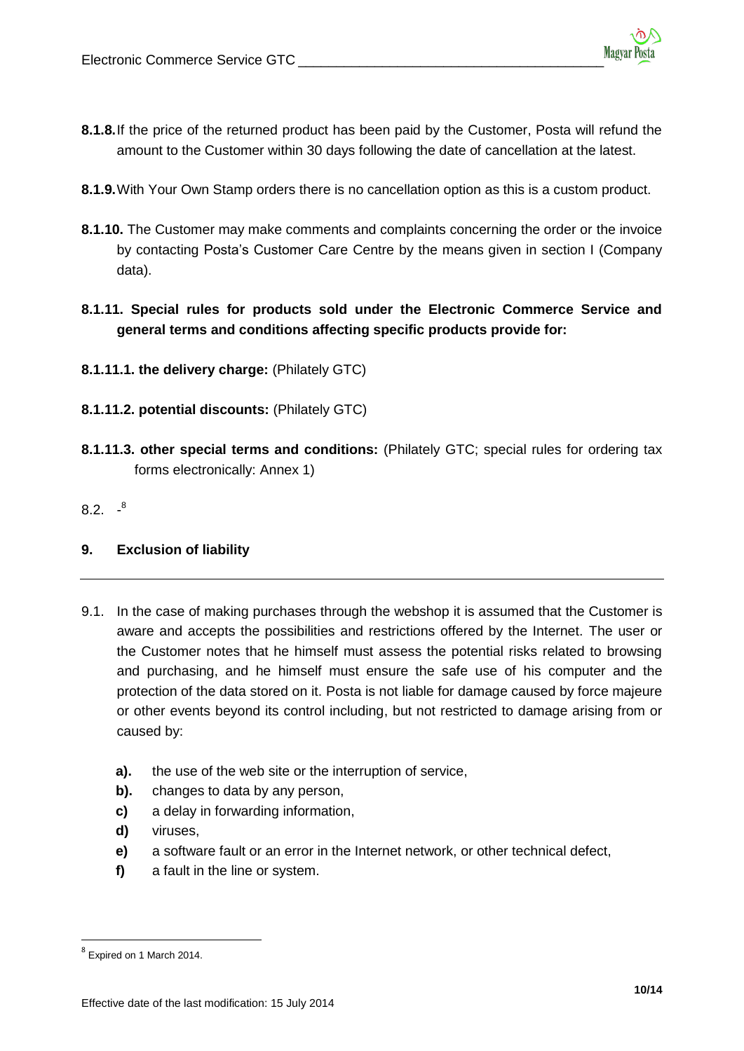- **8.1.8.**If the price of the returned product has been paid by the Customer, Posta will refund the amount to the Customer within 30 days following the date of cancellation at the latest.
- **8.1.9.**With Your Own Stamp orders there is no cancellation option as this is a custom product.
- **8.1.10.** The Customer may make comments and complaints concerning the order or the invoice by contacting Posta's Customer Care Centre by the means given in section I (Company data).
- **8.1.11. Special rules for products sold under the Electronic Commerce Service and general terms and conditions affecting specific products provide for:**
- **8.1.11.1. the delivery charge:** (Philately GTC)
- **8.1.11.2. potential discounts:** (Philately GTC)
- **8.1.11.3. other special terms and conditions:** (Philately GTC; special rules for ordering tax forms electronically: Annex 1)

 $8.2.$   $^{-8}$ 

# **9. Exclusion of liability**

- 9.1. In the case of making purchases through the webshop it is assumed that the Customer is aware and accepts the possibilities and restrictions offered by the Internet. The user or the Customer notes that he himself must assess the potential risks related to browsing and purchasing, and he himself must ensure the safe use of his computer and the protection of the data stored on it. Posta is not liable for damage caused by force majeure or other events beyond its control including, but not restricted to damage arising from or caused by:
	- **a).** the use of the web site or the interruption of service,
	- **b).** changes to data by any person,
	- **c)** a delay in forwarding information,
	- **d)** viruses,
	- **e)** a software fault or an error in the Internet network, or other technical defect,
	- **f)** a fault in the line or system.

<sup>&</sup>lt;u>s</u><br>Bexpired on 1 March 2014.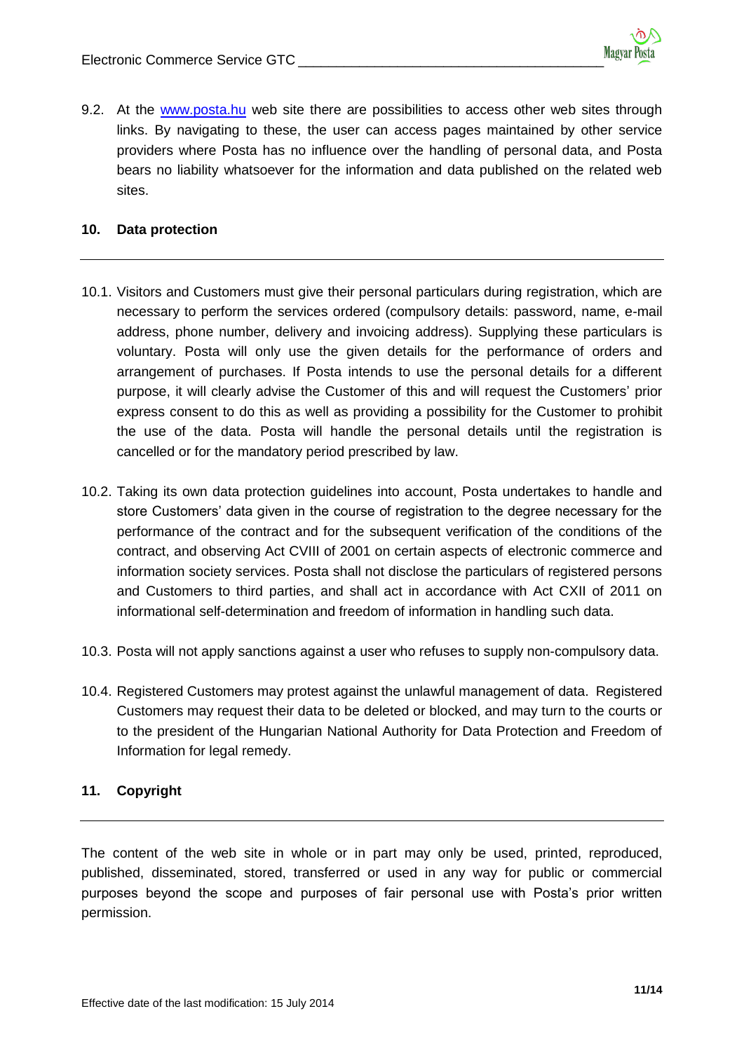9.2. At the [www.posta.hu](http://www.posta.hu/) web site there are possibilities to access other web sites through links. By navigating to these, the user can access pages maintained by other service providers where Posta has no influence over the handling of personal data, and Posta bears no liability whatsoever for the information and data published on the related web sites.

## **10. Data protection**

- 10.1. Visitors and Customers must give their personal particulars during registration, which are necessary to perform the services ordered (compulsory details: password, name, e-mail address, phone number, delivery and invoicing address). Supplying these particulars is voluntary. Posta will only use the given details for the performance of orders and arrangement of purchases. If Posta intends to use the personal details for a different purpose, it will clearly advise the Customer of this and will request the Customers' prior express consent to do this as well as providing a possibility for the Customer to prohibit the use of the data. Posta will handle the personal details until the registration is cancelled or for the mandatory period prescribed by law.
- 10.2. Taking its own data protection guidelines into account, Posta undertakes to handle and store Customers' data given in the course of registration to the degree necessary for the performance of the contract and for the subsequent verification of the conditions of the contract, and observing Act CVIII of 2001 on certain aspects of electronic commerce and information society services. Posta shall not disclose the particulars of registered persons and Customers to third parties, and shall act in accordance with Act CXII of 2011 on informational self-determination and freedom of information in handling such data.
- 10.3. Posta will not apply sanctions against a user who refuses to supply non-compulsory data.
- 10.4. Registered Customers may protest against the unlawful management of data. Registered Customers may request their data to be deleted or blocked, and may turn to the courts or to the president of the Hungarian National Authority for Data Protection and Freedom of Information for legal remedy.

# **11. Copyright**

The content of the web site in whole or in part may only be used, printed, reproduced, published, disseminated, stored, transferred or used in any way for public or commercial purposes beyond the scope and purposes of fair personal use with Posta's prior written permission.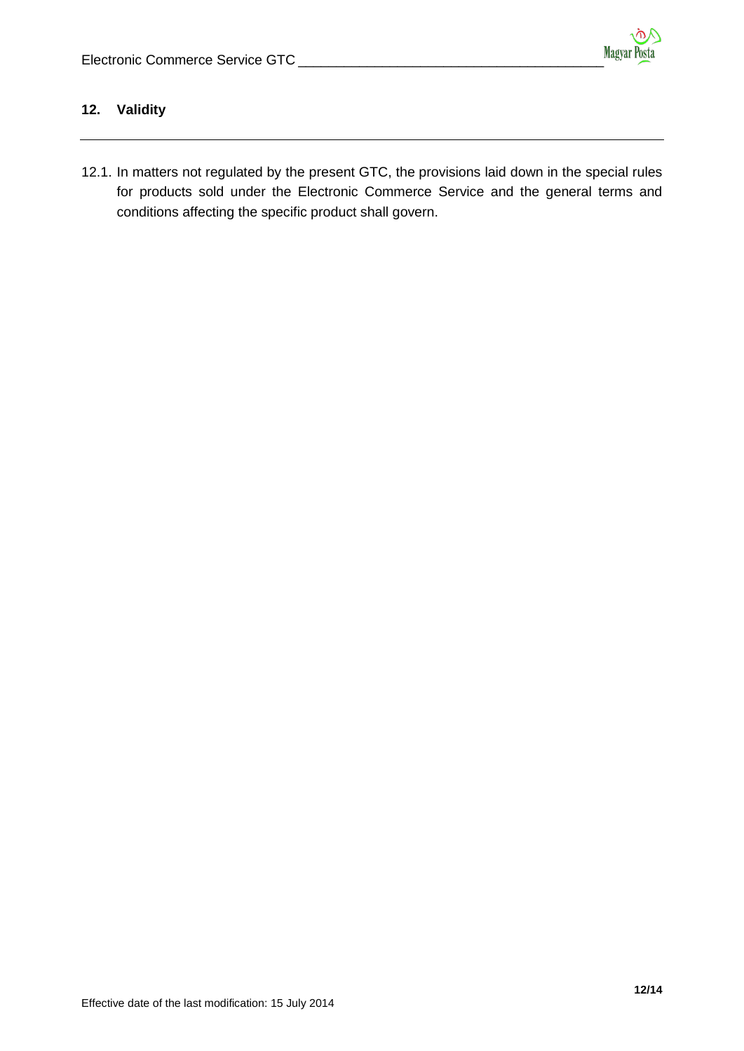# **12. Validity**

12.1. In matters not regulated by the present GTC, the provisions laid down in the special rules for products sold under the Electronic Commerce Service and the general terms and conditions affecting the specific product shall govern.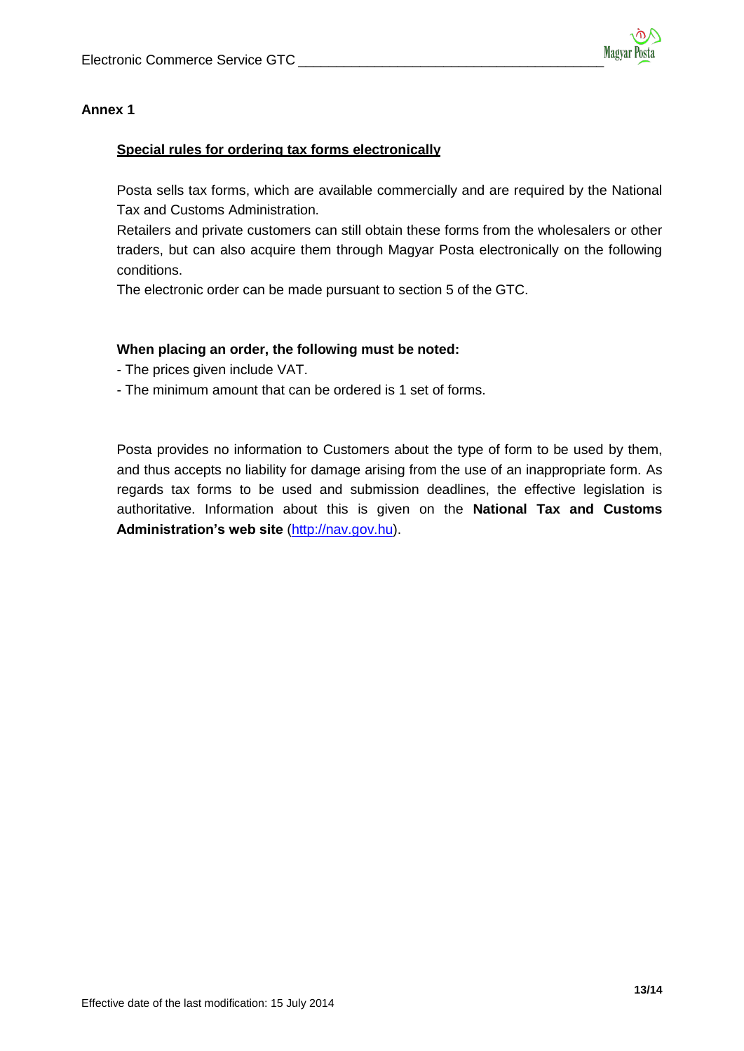## **Annex 1**

## **Special rules for ordering tax forms electronically**

Posta sells tax forms, which are available commercially and are required by the National Tax and Customs Administration.

Retailers and private customers can still obtain these forms from the wholesalers or other traders, but can also acquire them through Magyar Posta electronically on the following conditions.

The electronic order can be made pursuant to section 5 of the GTC.

## **When placing an order, the following must be noted:**

- The prices given include VAT.
- The minimum amount that can be ordered is 1 set of forms.

Posta provides no information to Customers about the type of form to be used by them, and thus accepts no liability for damage arising from the use of an inappropriate form. As regards tax forms to be used and submission deadlines, the effective legislation is authoritative. Information about this is given on the **National Tax and Customs Administration's web site** [\(http://nav.gov.hu\)](http://nav.gov.hu/).